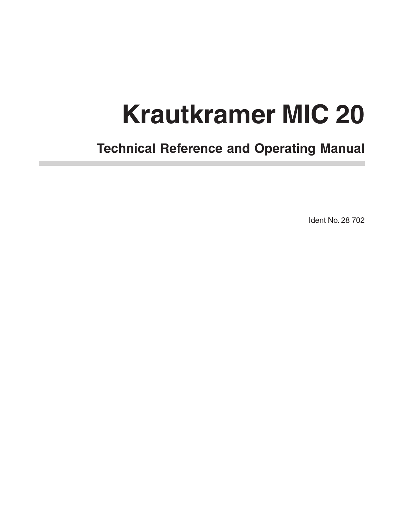# **Krautkramer MIC 20**

**Technical Reference and Operating Manual**

Ident No. 28 702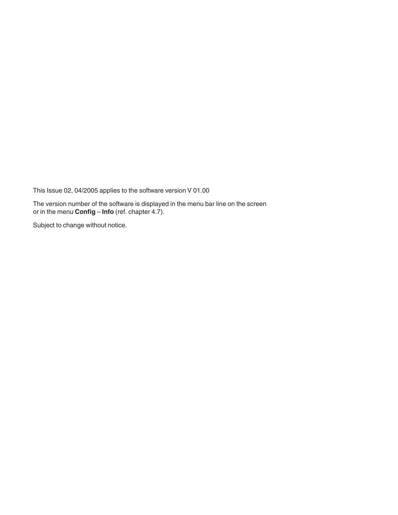This Issue 02, 04/2005 applies to the software version V 01.00

The version number of the software is displayed in the menu bar line on the screen or in the menu **Config** – **Info** (ref. chapter 4.7).

Subject to change without notice.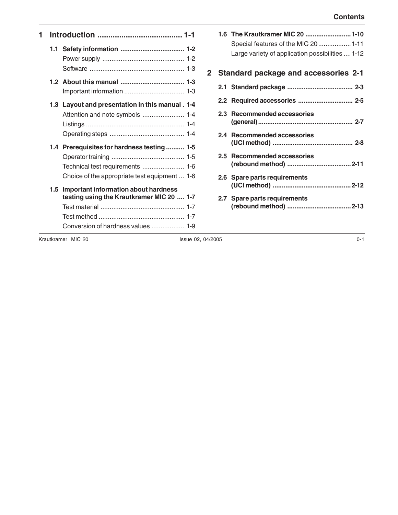|  |                                                  |                   |              | 1.6 The Krautkramer MIC 20  1-10                                                        |
|--|--------------------------------------------------|-------------------|--------------|-----------------------------------------------------------------------------------------|
|  |                                                  |                   |              | Special features of the MIC 20 1-11<br>Large variety of application possibilities  1-12 |
|  |                                                  |                   | $\mathbf{2}$ | <b>Standard package and accessories 2-1</b>                                             |
|  |                                                  |                   |              |                                                                                         |
|  | 1.3 Layout and presentation in this manual . 1-4 |                   |              |                                                                                         |
|  |                                                  |                   |              | 2.3 Recommended accessories                                                             |
|  |                                                  |                   |              | 2.4 Recommended accessories                                                             |
|  | 1.4 Prerequisites for hardness testing  1-5      |                   |              |                                                                                         |
|  |                                                  |                   |              | 2.5 Recommended accessories                                                             |
|  | Choice of the appropriate test equipment  1-6    |                   |              | 2.6 Spare parts requirements                                                            |
|  | 1.5 Important information about hardness         |                   |              |                                                                                         |
|  | testing using the Krautkramer MIC 20  1-7        |                   |              | 2.7 Spare parts requirements                                                            |
|  |                                                  |                   |              |                                                                                         |
|  |                                                  |                   |              |                                                                                         |
|  | Conversion of hardness values  1-9               |                   |              |                                                                                         |
|  | Krautkramer MIC 20                               | Issue 02, 04/2005 |              | $0 - 1$                                                                                 |

|  | 1.6 The Krautkramer MIC 20  1-10                 |
|--|--------------------------------------------------|
|  | Special features of the MIC 20  1-11             |
|  | Large variety of application possibilities  1-12 |
|  |                                                  |
|  | 2 Standard package and accessories 2-1           |
|  |                                                  |
|  |                                                  |
|  | 2.3 Recommended accessories                      |
|  | 2.4 Recommended accessories                      |
|  | 2.5 Recommended accessories                      |
|  | 2.6 Spare parts requirements                     |
|  | 2.7 Spare parts requirements                     |
|  |                                                  |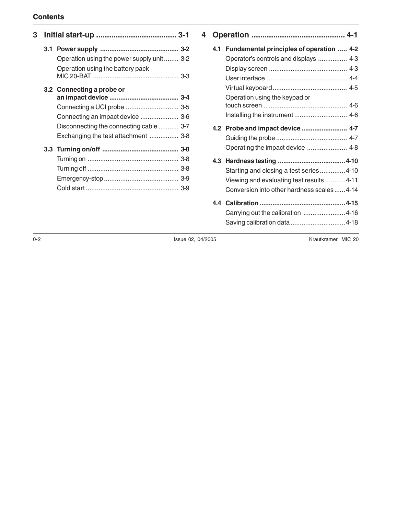#### **Contents**

| 3 |     |                                           |  |
|---|-----|-------------------------------------------|--|
|   | 3.1 |                                           |  |
|   |     | Operation using the power supply unit 3-2 |  |
|   |     | Operation using the battery pack          |  |
|   |     |                                           |  |
|   |     | 3.2 Connecting a probe or                 |  |
|   |     |                                           |  |
|   |     |                                           |  |
|   |     | Connecting an impact device  3-6          |  |
|   |     | Disconnecting the connecting cable  3-7   |  |
|   |     | Exchanging the test attachment  3-8       |  |
|   |     |                                           |  |
|   |     |                                           |  |
|   |     |                                           |  |
|   |     |                                           |  |
|   |     |                                           |  |
|   |     |                                           |  |
|   |     |                                           |  |

| 4 |                                              |  |
|---|----------------------------------------------|--|
|   | 4.1 Fundamental principles of operation  4-2 |  |
|   | Operator's controls and displays  4-3        |  |
|   |                                              |  |
|   |                                              |  |
|   |                                              |  |
|   | Operation using the keypad or                |  |
|   |                                              |  |
|   | 4.2 Probe and impact device  4-7             |  |
|   |                                              |  |
|   |                                              |  |
|   |                                              |  |
|   | Starting and closing a test series4-10       |  |
|   | Viewing and evaluating test results 4-11     |  |
|   | Conversion into other hardness scales4-14    |  |
|   |                                              |  |
|   | Carrying out the calibration 4-16            |  |
|   |                                              |  |
|   |                                              |  |

0-2 **Issue 02, 04/2005** Issue 02, 04/2005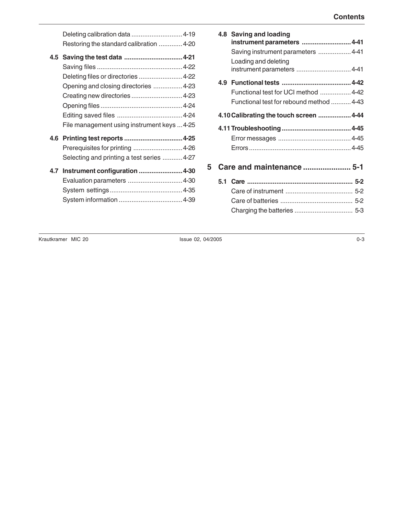|     | Deleting calibration data  4-19            |
|-----|--------------------------------------------|
|     | Restoring the standard calibration 4-20    |
| 4.5 |                                            |
|     |                                            |
|     | Deleting files or directories  4-22        |
|     | Opening and closing directories  4-23      |
|     | Creating new directories 4-23              |
|     |                                            |
|     |                                            |
|     | File management using instrument keys 4-25 |
| 4.6 |                                            |
|     | Prerequisites for printing  4-26           |
|     | Selecting and printing a test series  4-27 |
| 4.7 | Instrument configuration  4-30             |
|     | Evaluation parameters  4-30                |
|     |                                            |
|     |                                            |
|     |                                            |

|   | 4.8 Saving and loading<br>instrument parameters  4-41<br>Saving instrument parameters  4-41 |  |
|---|---------------------------------------------------------------------------------------------|--|
|   | Loading and deleting<br>instrument parameters  4-41                                         |  |
|   |                                                                                             |  |
|   | Functional test for UCI method  4-42                                                        |  |
|   | Functional test for rebound method  4-43                                                    |  |
|   | 4.10 Calibrating the touch screen  4-44                                                     |  |
|   |                                                                                             |  |
|   |                                                                                             |  |
|   |                                                                                             |  |
| 5 |                                                                                             |  |
|   |                                                                                             |  |
|   |                                                                                             |  |
|   |                                                                                             |  |
|   |                                                                                             |  |
|   |                                                                                             |  |

Krautkramer MIC 20 **ISSUE 02, 04/2005** 0-3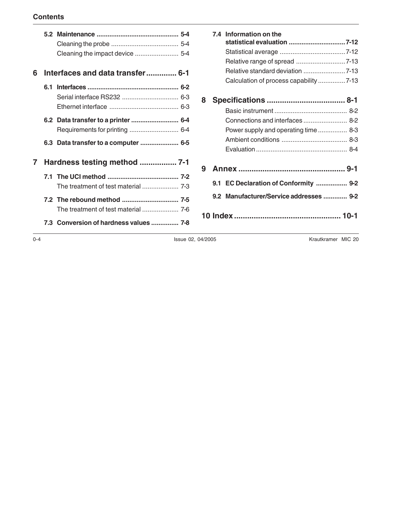#### **Contents**

| 6 |     | Interfaces and data transfer 6-1       |
|---|-----|----------------------------------------|
|   | 6.1 |                                        |
|   |     | Serial interface RS232  6-3            |
|   |     |                                        |
|   |     |                                        |
|   |     |                                        |
|   |     | 6.3 Data transfer to a computer  6-5   |
| 7 |     |                                        |
|   |     |                                        |
|   |     | The treatment of test material  7-3    |
|   |     |                                        |
|   |     |                                        |
|   |     | 7.3 Conversion of hardness values  7-8 |
|   |     |                                        |

|   | 7.4 Information on the                  |  |
|---|-----------------------------------------|--|
|   |                                         |  |
|   | Relative range of spread 7-13           |  |
|   | Relative standard deviation 7-13        |  |
|   | Calculation of process capability 7-13  |  |
| 8 |                                         |  |
|   |                                         |  |
|   | Connections and interfaces  8-2         |  |
|   | Power supply and operating time  8-3    |  |
|   |                                         |  |
|   |                                         |  |
| 9 |                                         |  |
|   | 9.1 EC Declaration of Conformity  9-2   |  |
|   | 9.2 Manufacturer/Service addresses  9-2 |  |
|   |                                         |  |

0-4 **Issue 02, 04/2005** Issue 02, 04/2005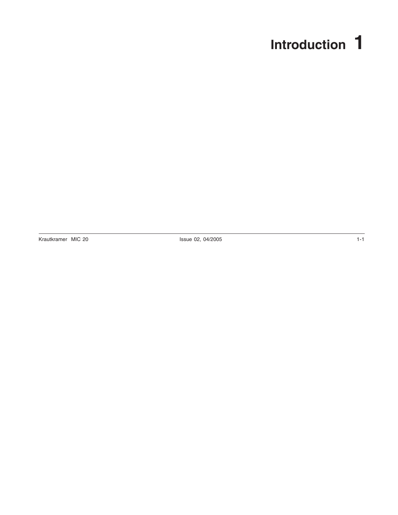## **Introduction 1**

Krautkramer MIC 20 **ISSUE 02, 04/2005** 1-1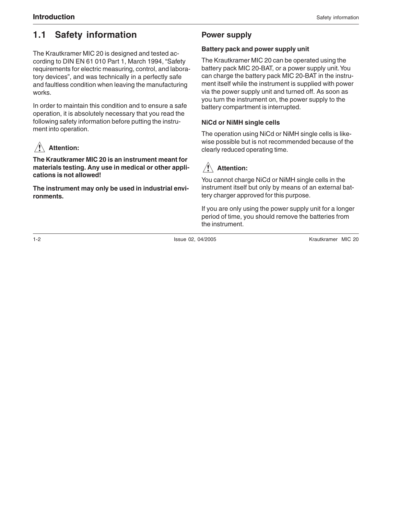## **1.1 Safety information**

The Krautkramer MIC 20 is designed and tested according to DIN EN 61 010 Part 1, March 1994, "Safety requirements for electric measuring, control, and laboratory devices", and was technically in a perfectly safe and faultless condition when leaving the manufacturing works.

In order to maintain this condition and to ensure a safe operation, it is absolutely necessary that you read the following safety information before putting the instrument into operation.

## A **Attention:**

**The Krautkramer MIC 20 is an instrument meant for materials testing. Any use in medical or other applications is not allowed!**

**The instrument may only be used in industrial environments.**

#### **Power supply**

#### **Battery pack and power supply unit**

The Krautkramer MIC 20 can be operated using the battery pack MIC 20-BAT, or a power supply unit. You can charge the battery pack MIC 20-BAT in the instrument itself while the instrument is supplied with power via the power supply unit and turned off. As soon as you turn the instrument on, the power supply to the battery compartment is interrupted.

#### **NiCd or NiMH single cells**

The operation using NiCd or NiMH single cells is likewise possible but is not recommended because of the clearly reduced operating time.

## A **Attention:**

You cannot charge NiCd or NiMH single cells in the instrument itself but only by means of an external battery charger approved for this purpose.

If you are only using the power supply unit for a longer period of time, you should remove the batteries from the instrument.

1-2 **ISSUE 02, 04/2005** CONVERTIGATION CONTROLLER INTEGRAL CONTROLLER INTEGRAL INTEGRAL ISSUE OF A USE OF A USE O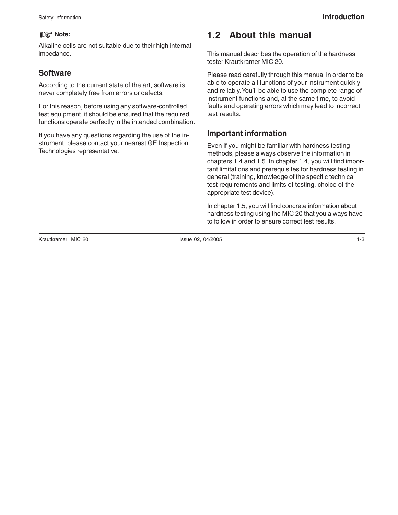#### **KNote:**

Alkaline cells are not suitable due to their high internal impedance.

#### **Software**

According to the current state of the art, software is never completely free from errors or defects.

For this reason, before using any software-controlled test equipment, it should be ensured that the required functions operate perfectly in the intended combination.

If you have any questions regarding the use of the instrument, please contact your nearest GE Inspection Technologies representative.

## **1.2 About this manual**

This manual describes the operation of the hardness tester Krautkramer MIC 20.

Please read carefully through this manual in order to be able to operate all functions of your instrument quickly and reliably. You'll be able to use the complete range of instrument functions and, at the same time, to avoid faults and operating errors which may lead to incorrect test results.

#### **Important information**

Even if you might be familiar with hardness testing methods, please always observe the information in chapters 1.4 and 1.5. In chapter 1.4, you will find important limitations and prerequisites for hardness testing in general (training, knowledge of the specific technical test requirements and limits of testing, choice of the appropriate test device).

In chapter 1.5, you will find concrete information about hardness testing using the MIC 20 that you always have to follow in order to ensure correct test results.

Krautkramer MIC 20 **ISSUE 02, 04/2005** 1-3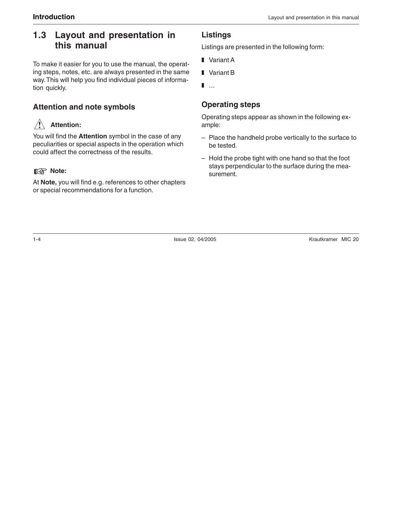## **1.3 Layout and presentation in this manual**

To make it easier for you to use the manual, the operating steps, notes, etc. are always presented in the same way. This will help you find individual pieces of information quickly.

#### **Attention and note symbols**

## $\sqrt{\mathbf{N}}$  Attention:

You will find the **Attention** symbol in the case of any peculiarities or special aspects in the operation which could affect the correctness of the results.

#### **IIf** Note:

At **Note,** you will find e.g. references to other chapters or special recommendations for a function.

#### **Listings**

Listings are presented in the following form:

- Variant A
- Variant B
- $\blacksquare$

#### **Operating steps**

Operating steps appear as shown in the following example:

- Place the handheld probe vertically to the surface to be tested.
- Hold the probe tight with one hand so that the foot stays perpendicular to the surface during the measurement.

1-4 **ISSUE 02, 04/2005** CONVERTIGATION CONTRACT MIC 20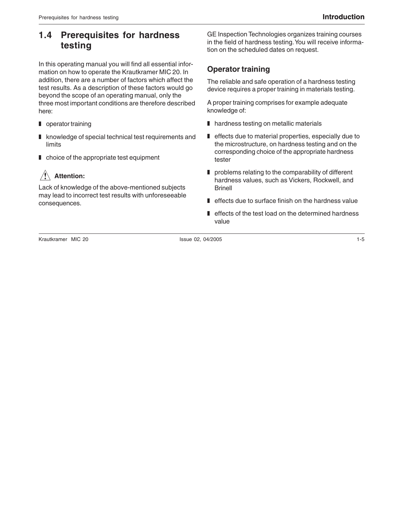GE Inspection Technologies organizes training courses in the field of hardness testing. You will receive informa-

The reliable and safe operation of a hardness testing device requires a proper training in materials testing.

A proper training comprises for example adequate

■ effects due to material properties, especially due to the microstructure, on hardness testing and on the corresponding choice of the appropriate hardness

■ problems relating to the comparability of different hardness values, such as Vickers, Rockwell, and

■ effects due to surface finish on the hardness value

■ effects of the test load on the determined hardness

tion on the scheduled dates on request.

■ hardness testing on metallic materials

**Operator training**

knowledge of:

tester

Brinell

value

### **1.4 Prerequisites for hardness testing**

In this operating manual you will find all essential information on how to operate the Krautkramer MIC 20. In addition, there are a number of factors which affect the test results. As a description of these factors would go beyond the scope of an operating manual, only the three most important conditions are therefore described here:

- operator training
- knowledge of special technical test requirements and limits
- choice of the appropriate test equipment

## A **Attention:**

Lack of knowledge of the above-mentioned subjects may lead to incorrect test results with unforeseeable consequences.

Krautkramer MIC 20 **ISSUE 02, 04/2005** 1-5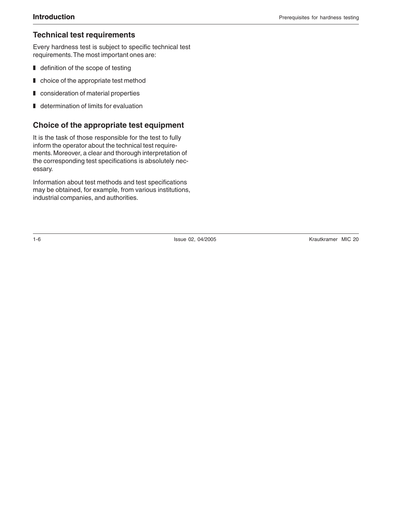#### **Technical test requirements**

Every hardness test is subject to specific technical test requirements. The most important ones are:

- definition of the scope of testing
- choice of the appropriate test method
- consideration of material properties
- determination of limits for evaluation

#### **Choice of the appropriate test equipment**

It is the task of those responsible for the test to fully inform the operator about the technical test requirements. Moreover, a clear and thorough interpretation of the corresponding test specifications is absolutely necessary.

Information about test methods and test specifications may be obtained, for example, from various institutions, industrial companies, and authorities.

1-6 **ISSUE 02, 04/2005** CONVERTIGATION CONTRACT MIC 20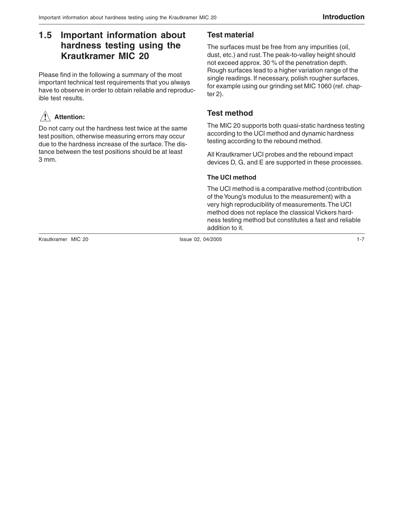### **1.5 Important information about hardness testing using the Krautkramer MIC 20**

Please find in the following a summary of the most important technical test requirements that you always have to observe in order to obtain reliable and reproducible test results.

### A **Attention:**

Do not carry out the hardness test twice at the same test position, otherwise measuring errors may occur due to the hardness increase of the surface. The distance between the test positions should be at least 3 mm.

#### **Test material**

The surfaces must be free from any impurities (oil, dust, etc.) and rust. The peak-to-valley height should not exceed approx. 30 % of the penetration depth. Rough surfaces lead to a higher variation range of the single readings. If necessary, polish rougher surfaces, for example using our grinding set MIC 1060 (ref. chapter 2).

#### **Test method**

The MIC 20 supports both quasi-static hardness testing according to the UCI method and dynamic hardness testing according to the rebound method.

All Krautkramer UCI probes and the rebound impact devices D, G, and E are supported in these processes.

#### **The UCI method**

The UCI method is a comparative method (contribution of the Young's modulus to the measurement) with a very high reproducibility of measurements. The UCI method does not replace the classical Vickers hardness testing method but constitutes a fast and reliable addition to it.

Krautkramer MIC 20 **ISSUE 02, 04/2005** 1-7 **ISSUE 02, 04/2005** 1-7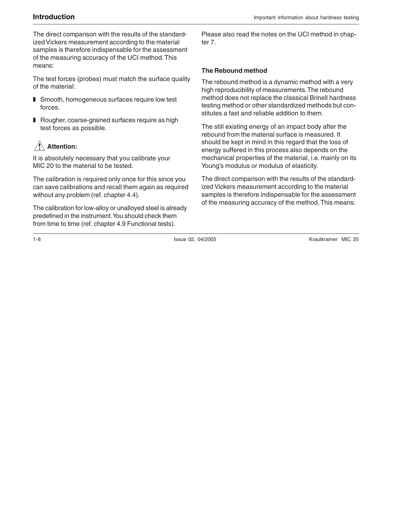Please also read the notes on the UCI method in chap-

The rebound method is a dynamic method with a very high reproducibility of measurements. The rebound method does not replace the classical Brinell hardness testing method or other standardized methods but con-

The still existing energy of an impact body after the rebound from the material surface is measured. It should be kept in mind in this regard that the loss of energy suffered in this process also depends on the mechanical properties of the material, i.e. mainly on its

The direct comparison with the results of the standardized Vickers measurement according to the material samples is therefore indispensable for the assessment of the measuring accuracy of the method. This means:

stitutes a fast and reliable addition to them.

Young's modulus or modulus of elasticity.

The direct comparison with the results of the standardized Vickers measurement according to the material samples is therefore indispensable for the assessment of the measuring accuracy of the UCI method. This means:

The test forces (probes) must match the surface quality of the material:

- Smooth, homogeneous surfaces require low test forces.
- Rougher, coarse-grained surfaces require as high test forces as possible.

## A**Attention:**

It is absolutely necessary that you calibrate your MIC 20 to the material to be tested.

The calibration is required only once for this since you can save calibrations and recall them again as required without any problem (ref. chapter 4.4).

The calibration for low-alloy or unalloyed steel is already predefined in the instrument. You should check them from time to time (ref. chapter 4.9 Functional tests).

ter 7.

**The Rebound method**

1-8 Issue 02, 04/2005 Krautkramer MIC 20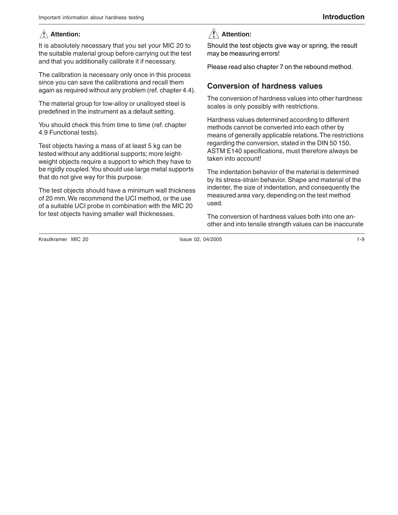#### A**Attention:**

It is absolutely necessary that you set your MIC 20 to the suitable material group before carrying out the test and that you additionally calibrate it if necessary.

The calibration is necessary only once in this process since you can save the calibrations and recall them again as required without any problem (ref. chapter 4.4).

The material group for low-alloy or unalloyed steel is predefined in the instrument as a default setting.

You should check this from time to time (ref. chapter 4.9 Functional tests).

Test objects having a mass of at least 5 kg can be tested without any additional supports; more leightweight objects require a support to which they have to be rigidly coupled. You should use large metal supports that do not give way for this purpose.

The test objects should have a minimum wall thickness of 20 mm. We recommend the UCI method, or the use of a suitable UCI probe in combination with the MIC 20 for test objects having smaller wall thicknesses.

Krautkramer MIC 20 **ISSUE 02, 04/2005** 1-9 ISSUE 02, 04/2005

A**Attention:**

Should the test objects give way or spring, the result may be measuring errors!

Please read also chapter 7 on the rebound method.

#### **Conversion of hardness values**

The conversion of hardness values into other hardness scales is only possibly with restrictions.

Hardness values determined according to different methods cannot be converted into each other by means of generally applicable relations. The restrictions regarding the conversion, stated in the DIN 50 150, ASTM E140 specifications, must therefore always be taken into account!

The indentation behavior of the material is determined by its stress-strain behavior. Shape and material of the indenter, the size of indentation, and consequently the measured area vary, depending on the test method used.

The conversion of hardness values both into one another and into tensile strength values can be inaccurate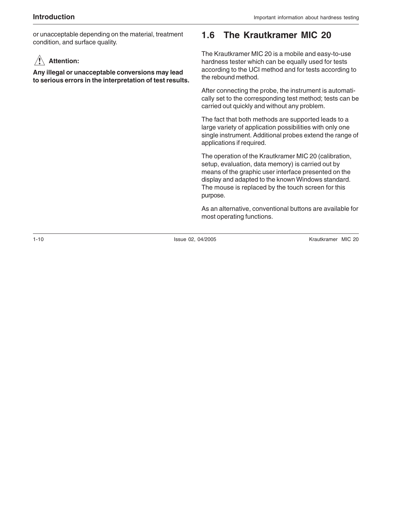or unacceptable depending on the material, treatment condition, and surface quality.

## A **Attention:**

**Any illegal or unacceptable conversions may lead to serious errors in the interpretation of test results.**

## **1.6 The Krautkramer MIC 20**

The Krautkramer MIC 20 is a mobile and easy-to-use hardness tester which can be equally used for tests according to the UCI method and for tests according to the rebound method.

After connecting the probe, the instrument is automatically set to the corresponding test method; tests can be carried out quickly and without any problem.

The fact that both methods are supported leads to a large variety of application possibilities with only one single instrument. Additional probes extend the range of applications if required.

The operation of the Krautkramer MIC 20 (calibration, setup, evaluation, data memory) is carried out by means of the graphic user interface presented on the display and adapted to the known Windows standard. The mouse is replaced by the touch screen for this purpose.

As an alternative, conventional buttons are available for most operating functions.

1-10 **ISSUE 02, 04/2005** CHA 20 and the US of MIC 20 and the US of MIC 20 and the US of MIC 20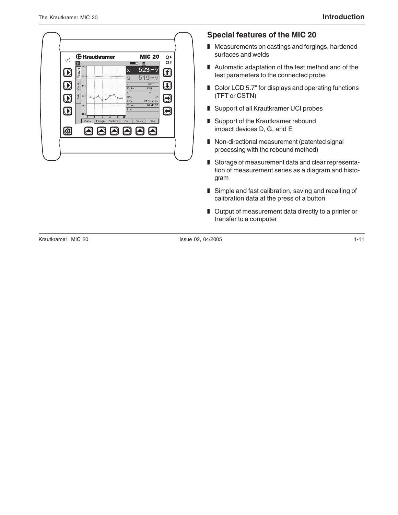

#### **Special features of the MIC 20**

- Measurements on castings and forgings, hardened surfaces and welds
- Automatic adaptation of the test method and of the test parameters to the connected probe
- Color LCD 5.7" for displays and operating functions (TFT or CSTN)
- Support of all Krautkramer UCI probes
- Support of the Krautkramer rebound impact devices D, G, and E
- Non-directional measurement (patented signal processing with the rebound method)
- Storage of measurement data and clear representation of measurement series as a diagram and histogram
- Simple and fast calibration, saving and recalling of calibration data at the press of a button
- Output of measurement data directly to a printer or transfer to a computer

Krautkramer MIC 20 **Issue 02, 04/2005** 1-11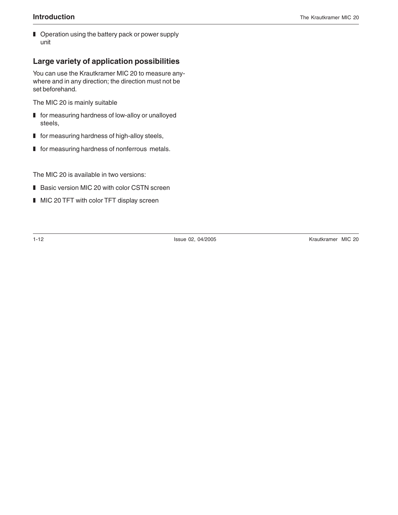■ Operation using the battery pack or power supply unit

#### **Large variety of application possibilities**

You can use the Krautkramer MIC 20 to measure anywhere and in any direction; the direction must not be set beforehand.

The MIC 20 is mainly suitable

- for measuring hardness of low-alloy or unalloyed steels,
- for measuring hardness of high-alloy steels,
- for measuring hardness of nonferrous metals.

The MIC 20 is available in two versions:

- Basic version MIC 20 with color CSTN screen
- MIC 20 TFT with color TFT display screen

1-12 **ISSUE 02, 04/2005** CONVERTIGATION CONTRACT MIC 20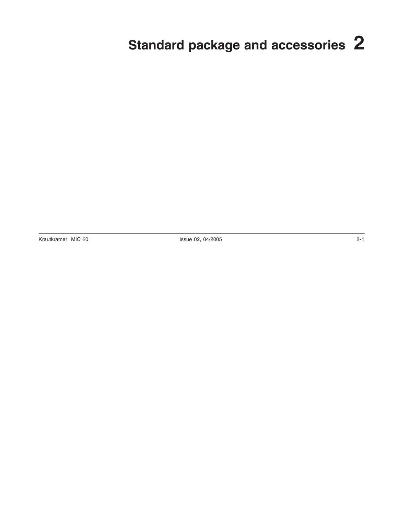## **Standard package and accessories 2**

Krautkramer MIC 20 **ISSUE 02, 04/2005** 2-1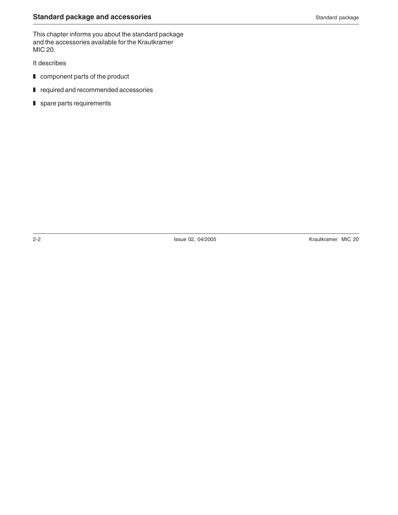This chapter informs you about the standard package and the accessories available for the Krautkramer MIC 20.

It describes

- component parts of the product
- required and recommended accessories
- **s** spare parts requirements

2-2 2-2 **Issue 02, 04/2005** CH<sub>0</sub> Issue 02, 04/2005 CH<sub>0</sub> Issue 02, 04/2005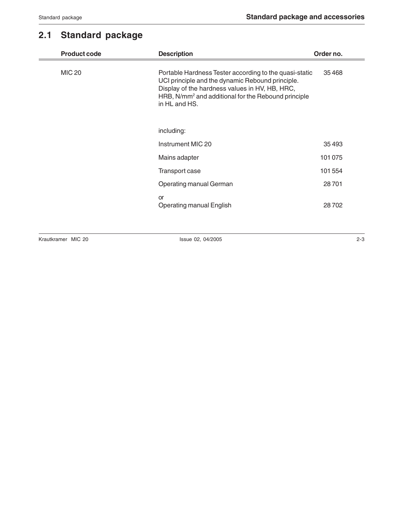## **2.1 Standard package**

| <b>Product code</b> | <b>Description</b>                                                                                                                                                                                                                               | Order no. |
|---------------------|--------------------------------------------------------------------------------------------------------------------------------------------------------------------------------------------------------------------------------------------------|-----------|
| <b>MIC 20</b>       | Portable Hardness Tester according to the quasi-static<br>UCI principle and the dynamic Rebound principle.<br>Display of the hardness values in HV, HB, HRC,<br>HRB, N/mm <sup>2</sup> and additional for the Rebound principle<br>in HL and HS. | 35468     |
|                     | including:                                                                                                                                                                                                                                       |           |
|                     | Instrument MIC 20                                                                                                                                                                                                                                | 35493     |
|                     | Mains adapter                                                                                                                                                                                                                                    | 101075    |
|                     | Transport case                                                                                                                                                                                                                                   | 101554    |
|                     | Operating manual German                                                                                                                                                                                                                          | 28701     |
|                     | <b>or</b><br>Operating manual English                                                                                                                                                                                                            | 28702     |

Krautkramer MIC 20 **ISSUE 02, 04/2005** 2-3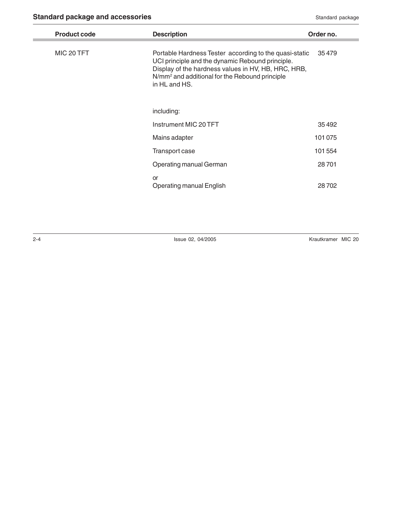| <b>Product code</b> | <b>Description</b>                                                                                                                                                                                                                               | Order no. |
|---------------------|--------------------------------------------------------------------------------------------------------------------------------------------------------------------------------------------------------------------------------------------------|-----------|
| MIC 20 TFT          | Portable Hardness Tester according to the quasi-static<br>UCI principle and the dynamic Rebound principle.<br>Display of the hardness values in HV, HB, HRC, HRB,<br>N/mm <sup>2</sup> and additional for the Rebound principle<br>in HL and HS. | 35 4 79   |
|                     | including:                                                                                                                                                                                                                                       |           |
|                     | Instrument MIC 20 TFT                                                                                                                                                                                                                            | 35492     |
|                     | Mains adapter                                                                                                                                                                                                                                    | 101075    |
|                     | Transport case                                                                                                                                                                                                                                   | 101 554   |
|                     | <b>Operating manual German</b>                                                                                                                                                                                                                   | 28701     |
|                     | <b>or</b><br>Operating manual English                                                                                                                                                                                                            | 28702     |

2-4 Issue 02, 04/2005 **Krautkramer MIC 20**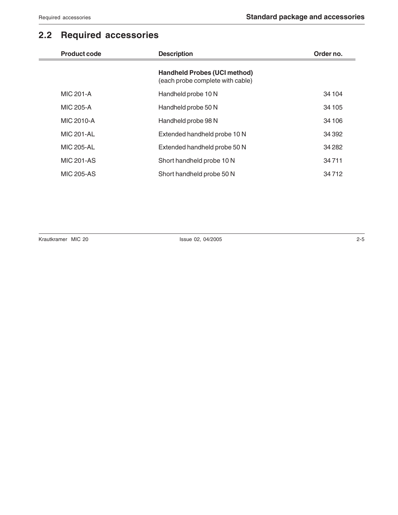## **2.2 Required accessories**

| <b>Product code</b> | <b>Description</b>                                                      | Order no. |
|---------------------|-------------------------------------------------------------------------|-----------|
|                     | <b>Handheld Probes (UCI method)</b><br>(each probe complete with cable) |           |
| MIC 201-A           | Handheld probe 10 N                                                     | 34 104    |
| MIC 205-A           | Handheld probe 50 N                                                     | 34 105    |
| MIC 2010-A          | Handheld probe 98 N                                                     | 34 106    |
| <b>MIC 201-AL</b>   | Extended handheld probe 10 N                                            | 34 392    |
| <b>MIC 205-AL</b>   | Extended handheld probe 50 N                                            | 34 28 2   |
| <b>MIC 201-AS</b>   | Short handheld probe 10 N                                               | 34711     |
| <b>MIC 205-AS</b>   | Short handheld probe 50 N                                               | 34712     |
|                     |                                                                         |           |

Krautkramer MIC 20 **ISSUE 02, 04/2005** 2-5 **ISSUE 02, 04/2005**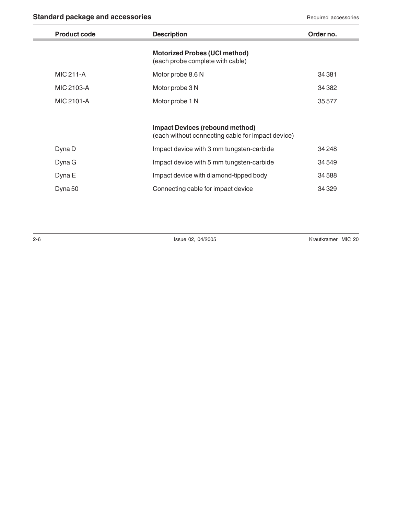| <b>Product code</b> | <b>Description</b>                                                                          | Order no. |
|---------------------|---------------------------------------------------------------------------------------------|-----------|
|                     | <b>Motorized Probes (UCI method)</b><br>(each probe complete with cable)                    |           |
| MIC 211-A           | Motor probe 8.6 N                                                                           | 34 381    |
| MIC 2103-A          | Motor probe 3 N                                                                             | 34 3 82   |
| MIC 2101-A          | Motor probe 1 N                                                                             | 35 5 7 7  |
|                     | <b>Impact Devices (rebound method)</b><br>(each without connecting cable for impact device) |           |
| Dyna D              | Impact device with 3 mm tungsten-carbide                                                    | 34 248    |
| Dyna G              | Impact device with 5 mm tungsten-carbide                                                    | 34 549    |
| Dyna E              | Impact device with diamond-tipped body                                                      | 34 5 88   |
| Dyna 50             | Connecting cable for impact device                                                          | 34 3 29   |
|                     |                                                                                             |           |

2-6 Issue 02, 04/2005 Krautkramer MIC 20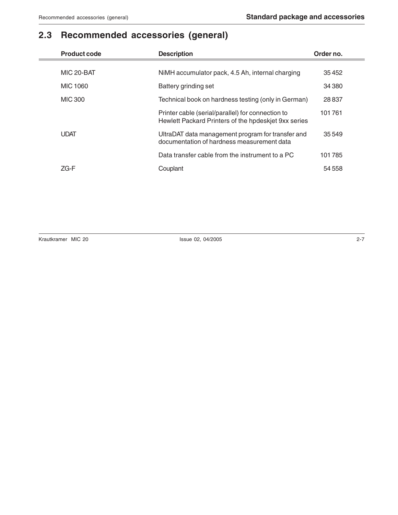## **2.3 Recommended accessories (general)**

| <b>Product code</b> | <b>Description</b>                                                                                        | Order no. |
|---------------------|-----------------------------------------------------------------------------------------------------------|-----------|
| MIC 20-BAT          | NiMH accumulator pack, 4.5 Ah, internal charging                                                          | 35452     |
| MIC 1060            | Battery grinding set                                                                                      | 34 380    |
| <b>MIC 300</b>      | Technical book on hardness testing (only in German)                                                       | 28837     |
|                     | Printer cable (serial/parallel) for connection to<br>Hewlett Packard Printers of the hpdeskjet 9xx series | 101761    |
| <b>UDAT</b>         | UltraDAT data management program for transfer and<br>documentation of hardness measurement data           | 35 549    |
|                     | Data transfer cable from the instrument to a PC                                                           | 101785    |
| $ZG-F$              | Couplant                                                                                                  | 54 558    |
|                     |                                                                                                           |           |

Krautkramer MIC 20 **ISSUE 02, 04/2005** 2-7 **ISSUE 02, 04/2005**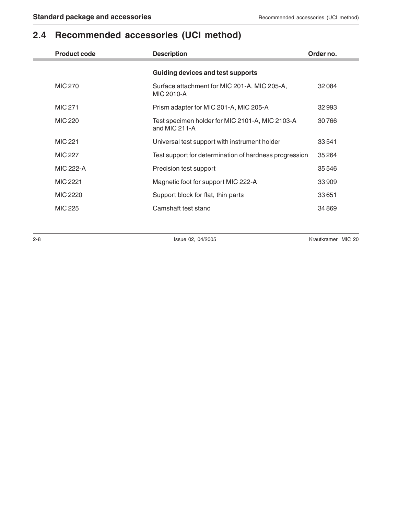## **2.4 Recommended accessories (UCI method)**

| <b>Product code</b> | <b>Description</b>                                               | Order no. |
|---------------------|------------------------------------------------------------------|-----------|
|                     | Guiding devices and test supports                                |           |
| <b>MIC 270</b>      | Surface attachment for MIC 201-A, MIC 205-A,<br>MIC 2010-A       | 32084     |
| <b>MIC 271</b>      | Prism adapter for MIC 201-A, MIC 205-A                           | 32993     |
| <b>MIC 220</b>      | Test specimen holder for MIC 2101-A, MIC 2103-A<br>and MIC 211-A | 30766     |
| <b>MIC 221</b>      | Universal test support with instrument holder                    | 33541     |
| <b>MIC 227</b>      | Test support for determination of hardness progression           | 35 2 64   |
| MIC 222-A           | Precision test support                                           | 35 546    |
| MIC 2221            | Magnetic foot for support MIC 222-A                              | 33909     |
| MIC 2220            | Support block for flat, thin parts                               | 33651     |
| <b>MIC 225</b>      | Camshaft test stand                                              | 34869     |

2-8 Issue 02, 04/2005 **Krautkramer MIC 20**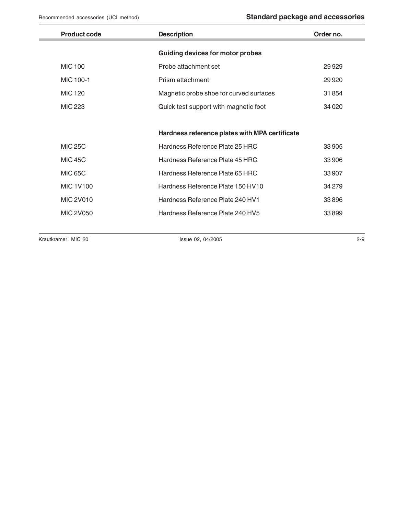Recommended accessories (UCI method)

| <b>Product code</b> | <b>Description</b>                             | Order no. |
|---------------------|------------------------------------------------|-----------|
|                     | <b>Guiding devices for motor probes</b>        |           |
| <b>MIC 100</b>      | Probe attachment set                           | 29929     |
| MIC 100-1           | Prism attachment                               | 29 9 20   |
| <b>MIC 120</b>      | Magnetic probe shoe for curved surfaces        | 31854     |
| <b>MIC 223</b>      | Quick test support with magnetic foot          | 34 0 20   |
|                     |                                                |           |
|                     | Hardness reference plates with MPA certificate |           |
| <b>MIC 25C</b>      | Hardness Reference Plate 25 HRC                | 33905     |
| <b>MIC 45C</b>      | Hardness Reference Plate 45 HRC                | 33906     |
| <b>MIC 65C</b>      | Hardness Reference Plate 65 HRC                | 33907     |
| <b>MIC 1V100</b>    | Hardness Reference Plate 150 HV10              | 34 279    |
| <b>MIC 2V010</b>    | Hardness Reference Plate 240 HV1               | 33896     |
| <b>MIC 2V050</b>    | Hardness Reference Plate 240 HV5               | 33899     |
|                     |                                                |           |

Krautkramer MIC 20 **ISSUE 02, 04/2005** 2-9 **ISSUE 02, 04/2005**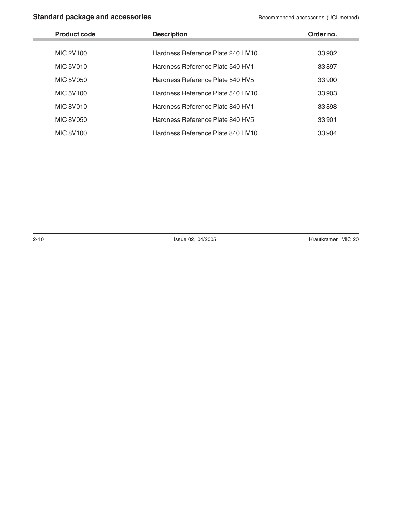#### **Standard package and accessories**

Recommended accessories (UCI method)

| <b>Product code</b> | <b>Description</b>                | Order no. |  |
|---------------------|-----------------------------------|-----------|--|
|                     |                                   |           |  |
| MIC 2V100           | Hardness Reference Plate 240 HV10 | 33902     |  |
| MIC 5V010           | Hardness Reference Plate 540 HV1  | 33897     |  |
| MIC 5V050           | Hardness Reference Plate 540 HV5  | 33 900    |  |
| MIC 5V100           | Hardness Reference Plate 540 HV10 | 33903     |  |
| <b>MIC 8V010</b>    | Hardness Reference Plate 840 HV1  | 33898     |  |
| <b>MIC 8V050</b>    | Hardness Reference Plate 840 HV5  | 33901     |  |
| <b>MIC 8V100</b>    | Hardness Reference Plate 840 HV10 | 33904     |  |

2-10 **Issue 02, 04/2005** Issue 02, 04/2005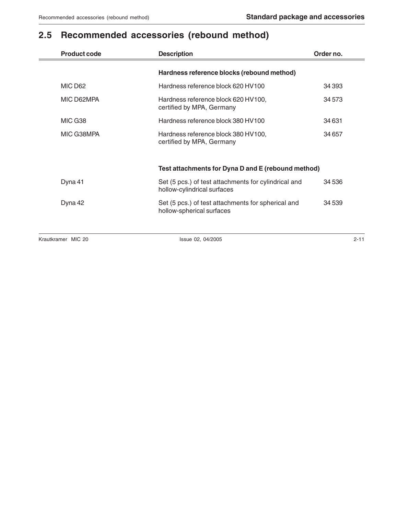## **2.5 Recommended accessories (rebound method)**

| <b>Product code</b> | <b>Description</b>                                                                  | Order no. |  |
|---------------------|-------------------------------------------------------------------------------------|-----------|--|
|                     | Hardness reference blocks (rebound method)                                          |           |  |
| MIC D <sub>62</sub> | Hardness reference block 620 HV100                                                  | 34 3 93   |  |
| MIC D62MPA          | Hardness reference block 620 HV100,<br>certified by MPA, Germany                    | 34 573    |  |
| MIC G38             | Hardness reference block 380 HV100                                                  | 34 631    |  |
| MIC G38MPA          | Hardness reference block 380 HV100,<br>certified by MPA, Germany                    | 34 657    |  |
|                     | Test attachments for Dyna D and E (rebound method)                                  |           |  |
| Dyna 41             | Set (5 pcs.) of test attachments for cylindrical and<br>hollow-cylindrical surfaces | 34 536    |  |
| Dyna 42             | Set (5 pcs.) of test attachments for spherical and<br>hollow-spherical surfaces     | 34 5 39   |  |

Krautkramer MIC 20 **ISSUE 02, 04/2005** 2-11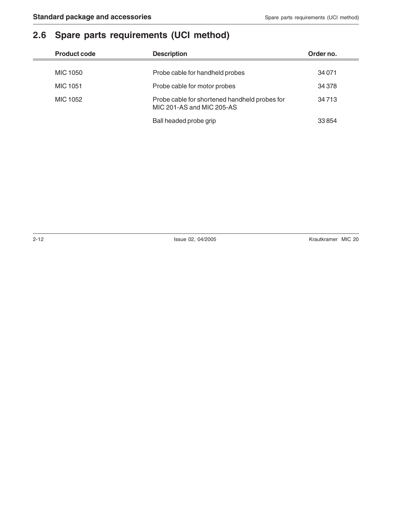## **2.6 Spare parts requirements (UCI method)**

| <b>Product code</b> | <b>Description</b>                                                         | Order no. |
|---------------------|----------------------------------------------------------------------------|-----------|
| MIC 1050            | Probe cable for handheld probes                                            | 34 0 71   |
| MIC 1051            | Probe cable for motor probes                                               | 34 378    |
| MIC 1052            | Probe cable for shortened handheld probes for<br>MIC 201-AS and MIC 205-AS | 34 7 13   |
|                     | Ball headed probe grip                                                     | 33854     |

2-12 **Issue 02, 04/2005** Issue 02, 04/2005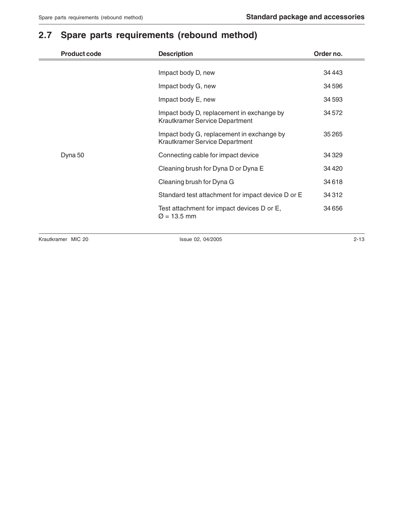## **2.7 Spare parts requirements (rebound method)**

| <b>Product code</b> | <b>Description</b>                                                          | Order no. |
|---------------------|-----------------------------------------------------------------------------|-----------|
|                     | Impact body D, new                                                          | 34 4 43   |
|                     | Impact body G, new                                                          | 34 5 96   |
|                     | Impact body E, new                                                          | 34 5 93   |
|                     | Impact body D, replacement in exchange by<br>Krautkramer Service Department | 34572     |
|                     | Impact body G, replacement in exchange by<br>Krautkramer Service Department | 35 2 65   |
| Dyna 50             | Connecting cable for impact device                                          | 34 3 29   |
|                     | Cleaning brush for Dyna D or Dyna E                                         | 34 4 20   |
|                     | Cleaning brush for Dyna G                                                   | 34618     |
|                     | Standard test attachment for impact device D or E                           | 34312     |
|                     | Test attachment for impact devices D or E,<br>$\varnothing$ = 13.5 mm       | 34 656    |

Krautkramer MIC 20 **ISSUE 02, 04/2005** 2-13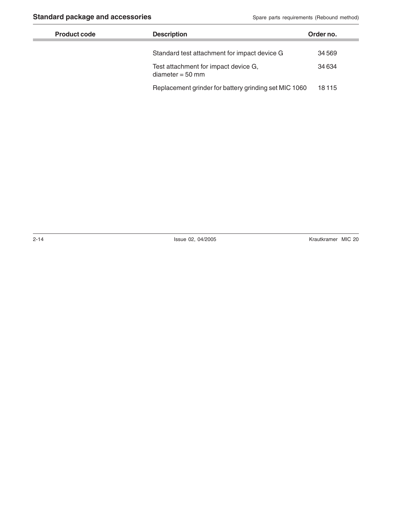| <b>Product code</b> | <b>Description</b>                                         | Order no. |
|---------------------|------------------------------------------------------------|-----------|
|                     | Standard test attachment for impact device G               | 34 5 69   |
|                     | Test attachment for impact device G,<br>$diameter = 50$ mm | 34 634    |
|                     | Replacement grinder for battery grinding set MIC 1060      | 18 1 15   |

2-14 **Issue 02, 04/2005** Issue 02, 04/2005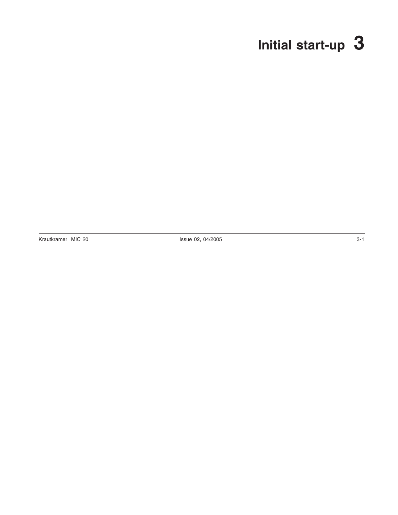## **Initial start-up 3**

Krautkramer MIC 20 **ISSUE 02, 04/2005** 3-1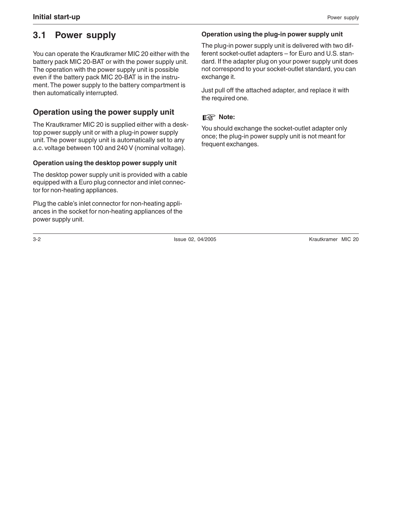## **3.1 Power supply**

You can operate the Krautkramer MIC 20 either with the battery pack MIC 20-BAT or with the power supply unit. The operation with the power supply unit is possible even if the battery pack MIC 20-BAT is in the instrument. The power supply to the battery compartment is then automatically interrupted.

#### **Operation using the power supply unit**

The Krautkramer MIC 20 is supplied either with a desktop power supply unit or with a plug-in power supply unit. The power supply unit is automatically set to any a.c. voltage between 100 and 240 V (nominal voltage).

#### **Operation using the desktop power supply unit**

The desktop power supply unit is provided with a cable equipped with a Euro plug connector and inlet connector for non-heating appliances.

Plug the cable's inlet connector for non-heating appliances in the socket for non-heating appliances of the power supply unit.

3-2 Issue 02, 04/2005 Krautkramer MIC 20

#### **Operation using the plug-in power supply unit**

The plug-in power supply unit is delivered with two different socket-outlet adapters – for Euro and U.S. standard. If the adapter plug on your power supply unit does not correspond to your socket-outlet standard, you can exchange it.

Just pull off the attached adapter, and replace it with the required one.

#### **K** Note:

You should exchange the socket-outlet adapter only once; the plug-in power supply unit is not meant for frequent exchanges.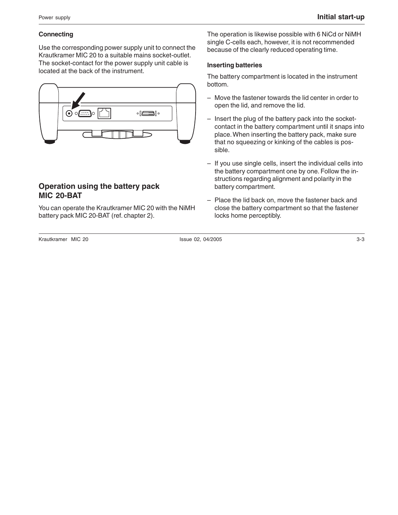#### **Connecting**

Use the corresponding power supply unit to connect the Krautkramer MIC 20 to a suitable mains socket-outlet. The socket-contact for the power supply unit cable is located at the back of the instrument.



#### **Operation using the battery pack MIC 20-BAT**

You can operate the Krautkramer MIC 20 with the NiMH battery pack MIC 20-BAT (ref. chapter 2).

Krautkramer MIC 20 **ISSUE 02, 04/2005** 3-3

The operation is likewise possible with 6 NiCd or NiMH single C-cells each, however, it is not recommended because of the clearly reduced operating time.

#### **Inserting batteries**

The battery compartment is located in the instrument bottom.

- Move the fastener towards the lid center in order to open the lid, and remove the lid.
- Insert the plug of the battery pack into the socketcontact in the battery compartment until it snaps into place. When inserting the battery pack, make sure that no squeezing or kinking of the cables is possible.
- If you use single cells, insert the individual cells into the battery compartment one by one. Follow the instructions regarding alignment and polarity in the battery compartment.
- Place the lid back on, move the fastener back and close the battery compartment so that the fastener locks home perceptibly.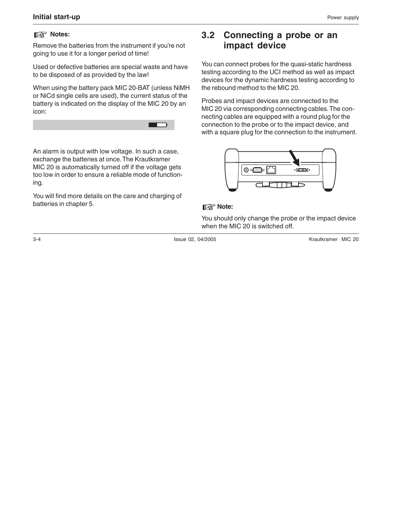#### **IRS** Notes:

Remove the batteries from the instrument if you're not going to use it for a longer period of time!

Used or defective batteries are special waste and have to be disposed of as provided by the law!

When using the battery pack MIC 20-BAT (unless NiMH or NiCd single cells are used), the current status of the battery is indicated on the display of the MIC 20 by an icon:

An alarm is output with low voltage. In such a case, exchange the batteries at once. The Krautkramer MIC 20 is automatically turned off if the voltage gets too low in order to ensure a reliable mode of functioning.

You will find more details on the care and charging of batteries in chapter 5.

## **3.2 Connecting a probe or an impact device**

You can connect probes for the quasi-static hardness testing according to the UCI method as well as impact devices for the dynamic hardness testing according to the rebound method to the MIC 20.

Probes and impact devices are connected to the MIC 20 via corresponding connecting cables. The connecting cables are equipped with a round plug for the connection to the probe or to the impact device, and with a square plug for the connection to the instrument.



#### **Kg Note:**

You should only change the probe or the impact device when the MIC 20 is switched off.

3-4 Issue 02, 04/2005 Krautkramer MIC 20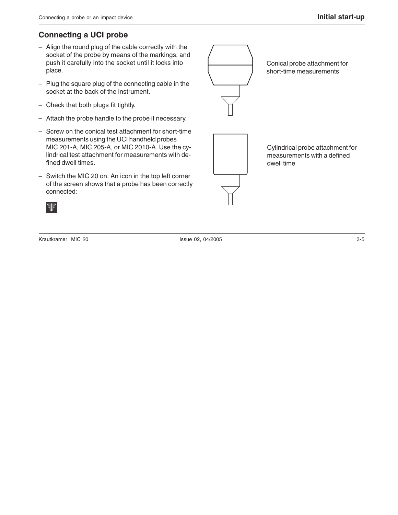#### **Connecting a UCI probe**

- Align the round plug of the cable correctly with the socket of the probe by means of the markings, and push it carefully into the socket until it locks into place.
- Plug the square plug of the connecting cable in the socket at the back of the instrument.
- Check that both plugs fit tightly.
- Attach the probe handle to the probe if necessary.
- Screw on the conical test attachment for short-time measurements using the UCI handheld probes MIC 201-A, MIC 205-A, or MIC 2010-A. Use the cylindrical test attachment for measurements with defined dwell times.
- Switch the MIC 20 on. An icon in the top left corner of the screen shows that a probe has been correctly connected:



Krautkramer MIC 20 **ISSUE 02, 04/2005** 3-5 **ISSUE 02, 04/2005** 3-5

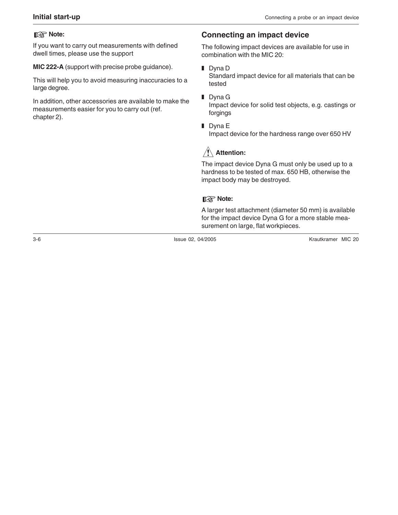#### **ISP** Note:

If you want to carry out measurements with defined dwell times, please use the support

**MIC 222-A** (support with precise probe guidance).

This will help you to avoid measuring inaccuracies to a large degree.

In addition, other accessories are available to make the measurements easier for you to carry out (ref. chapter 2).

#### **Connecting an impact device**

The following impact devices are available for use in combination with the MIC 20:

■ Dyna D

Standard impact device for all materials that can be tested

- Dyna G Impact device for solid test objects, e.g. castings or forgings
- Dyna E Impact device for the hardness range over 650 HV



#### A**Attention:**

The impact device Dyna G must only be used up to a hardness to be tested of max. 650 HB, otherwise the impact body may be destroyed.

#### **ISP** Note:

A larger test attachment (diameter 50 mm) is available for the impact device Dyna G for a more stable measurement on large, flat workpieces.

3-6 Issue 02, 04/2005 Krautkramer MIC 20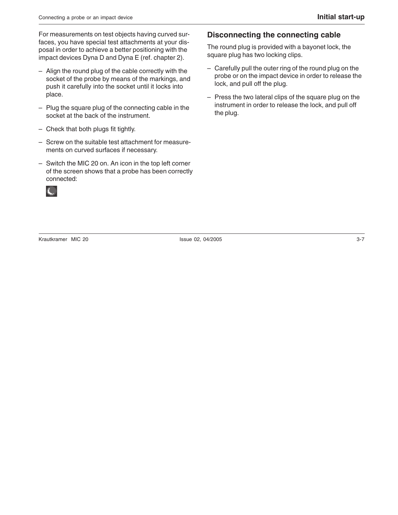For measurements on test objects having curved surfaces, you have special test attachments at your disposal in order to achieve a better positioning with the impact devices Dyna D and Dyna E (ref. chapter 2).

- Align the round plug of the cable correctly with the socket of the probe by means of the markings, and push it carefully into the socket until it locks into place.
- Plug the square plug of the connecting cable in the socket at the back of the instrument.
- Check that both plugs fit tightly.
- Screw on the suitable test attachment for measurements on curved surfaces if necessary.
- Switch the MIC 20 on. An icon in the top left corner of the screen shows that a probe has been correctly connected:



**Disconnecting the connecting cable**

The round plug is provided with a bayonet lock, the square plug has two locking clips.

- Carefully pull the outer ring of the round plug on the probe or on the impact device in order to release the lock, and pull off the plug.
- Press the two lateral clips of the square plug on the instrument in order to release the lock, and pull off the plug.

Krautkramer MIC 20 **ISSUE 02, 04/2005** 3-7 **ISSUE 02, 04/2005** 3-7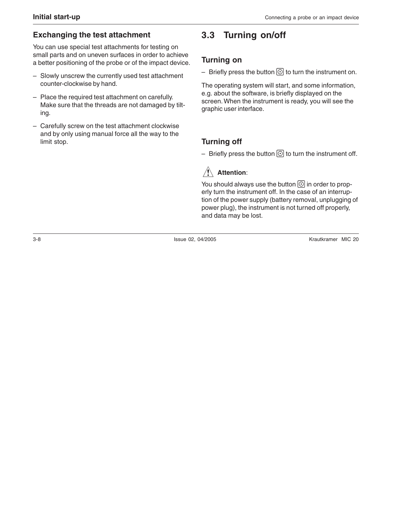#### **Exchanging the test attachment**

You can use special test attachments for testing on small parts and on uneven surfaces in order to achieve a better positioning of the probe or of the impact device.

- Slowly unscrew the currently used test attachment counter-clockwise by hand.
- Place the required test attachment on carefully. Make sure that the threads are not damaged by tilting.
- Carefully screw on the test attachment clockwise and by only using manual force all the way to the limit stop.

## **3.3 Turning on/off**

#### **Turning on**

– Briefly press the button  $\textcircled{S}$  to turn the instrument on.

The operating system will start, and some information, e.g. about the software, is briefly displayed on the screen. When the instrument is ready, you will see the graphic user interface.

### **Turning off**

– Briefly press the button  $\textcircled{S}$  to turn the instrument off.



You should always use the button  $\circledcirc$  in order to properly turn the instrument off. In the case of an interruption of the power supply (battery removal, unplugging of power plug), the instrument is not turned off properly, and data may be lost.

3-8 Issue 02, 04/2005 Krautkramer MIC 20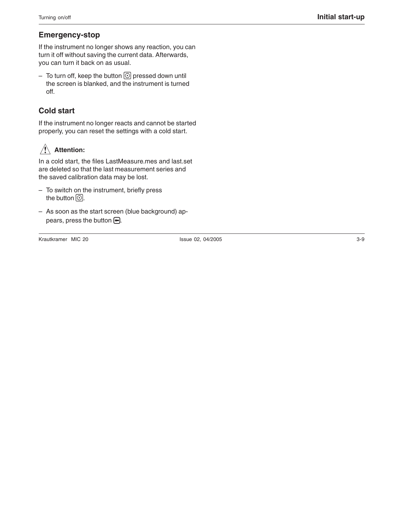#### **Emergency-stop**

If the instrument no longer shows any reaction, you can turn it off without saving the current data. Afterwards, you can turn it back on as usual.

– To turn off, keep the button  $\circledcirc$  pressed down until the screen is blanked, and the instrument is turned off.

#### **Cold start**

If the instrument no longer reacts and cannot be started properly, you can reset the settings with a cold start.

# $\sqrt{!}$  Attention:

In a cold start, the files LastMeasure.mes and last.set are deleted so that the last measurement series and the saved calibration data may be lost.

- To switch on the instrument, briefly press the button  $\circledcirc$ .
- As soon as the start screen (blue background) appears, press the button  $\bigoplus$ .

Krautkramer MIC 20 **ISSUE 02, 04/2005** 3-9 **ISSUE 02, 04/2005** 3-9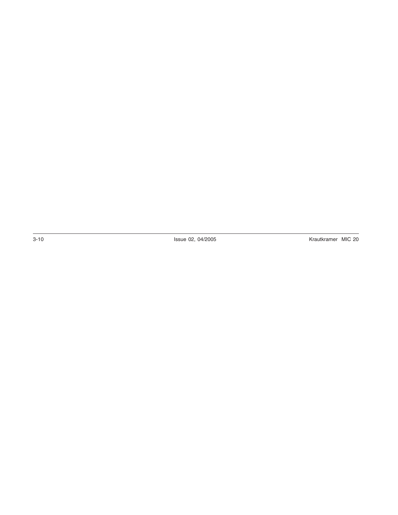3-10 **Issue 02, 04/2005** Issue 02, 04/2005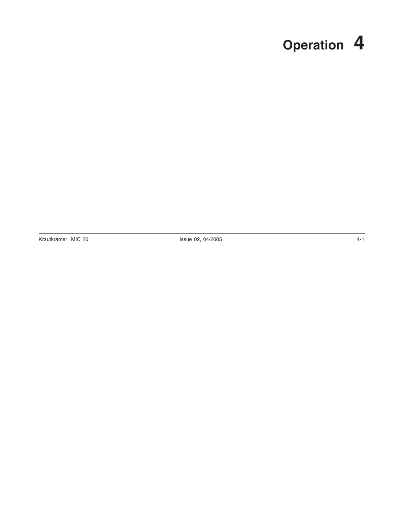# **Operation 4**

Krautkramer MIC 20 **ISSUE 02, 04/2005** 4-1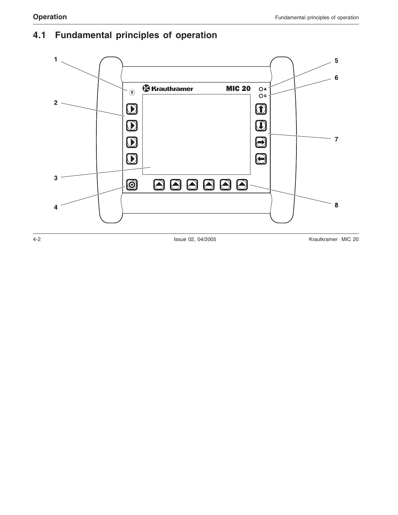# **4.1 Fundamental principles of operation**



4-2 **ISSUE 02, 04/2005** ISSUE 02, 04/2005 **Krautkramer MIC 20**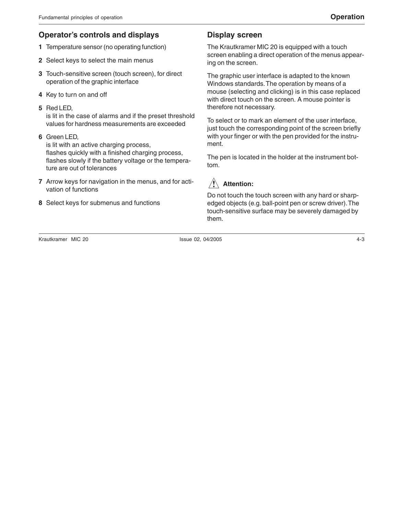#### **Operator's controls and displays**

- **1** Temperature sensor (no operating function)
- **2** Select keys to select the main menus
- **3** Touch-sensitive screen (touch screen), for direct operation of the graphic interface
- **4** Key to turn on and off
- **5** Red LED,

is lit in the case of alarms and if the preset threshold values for hardness measurements are exceeded

**6** Green LED,

is lit with an active charging process, flashes quickly with a finished charging process, flashes slowly if the battery voltage or the temperature are out of tolerances

- **7** Arrow keys for navigation in the menus, and for activation of functions
- **8** Select keys for submenus and functions

Krautkramer MIC 20 **ISSUE 02, 04/2005 ISSUE 02, 04/2005 ISSUE 02, 04/2005 ISSUE 02, 04/2005** 

them.

#### **Display screen**

The Krautkramer MIC 20 is equipped with a touch screen enabling a direct operation of the menus appearing on the screen.

The graphic user interface is adapted to the known Windows standards. The operation by means of a mouse (selecting and clicking) is in this case replaced with direct touch on the screen. A mouse pointer is therefore not necessary.

To select or to mark an element of the user interface, just touch the corresponding point of the screen briefly with your finger or with the pen provided for the instrument.

The pen is located in the holder at the instrument bottom.



#### edged objects (e.g. ball-point pen or screw driver). The touch-sensitive surface may be severely damaged by

Do not touch the touch screen with any hard or sharp-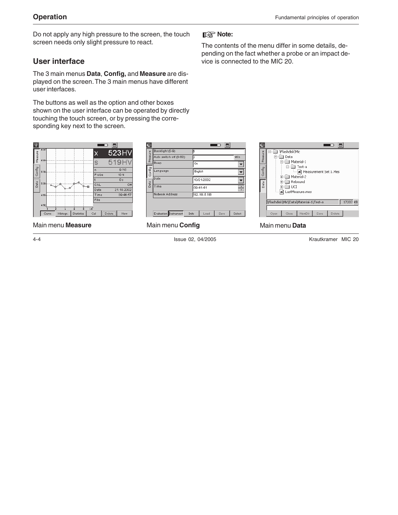Do not apply any high pressure to the screen, the touch screen needs only slight pressure to react.

#### **User interface**

The 3 main menus **Data**, **Config,** and **Measure** are displayed on the screen. The 3 main menus have different user interfaces.

The buttons as well as the option and other boxes shown on the user interface can be operated by directly touching the touch screen, or by pressing the corresponding key next to the screen.

#### H**Note:**

The contents of the menu differ in some details, depending on the fact whether a probe or an impact device is connected to the MIC 20.

| V<br>⊞<br>$\blacksquare$                                                                                                                                                                      | E<br>D.                                                                                                                                                                                                                     | E<br>D.                                                                                                                                                                                                           |
|-----------------------------------------------------------------------------------------------------------------------------------------------------------------------------------------------|-----------------------------------------------------------------------------------------------------------------------------------------------------------------------------------------------------------------------------|-------------------------------------------------------------------------------------------------------------------------------------------------------------------------------------------------------------------|
| 651<br>523HV<br>х<br>Measur<br>519HV<br>onfig<br>9/10<br>571<br>Probe<br>10 N<br>0s<br>Data<br>mymin symbolisticket k<br>5304<br>CAL<br>Off<br>21.10.2002<br>Date<br>09:46:57<br>Time<br>450- | $\mathbf{B}$ acklight (0-9)<br>Auto switch off (0-60)<br>Min<br><b>Beep</b><br>On<br>refig<br>Language<br><b>English</b><br>.lD ate<br>10/21/2002<br>ã<br><b>ITime</b><br>٠<br>09-41-41<br>Network Address<br>192.168.5.186 | Flashdisk\Mic<br>$\Box$<br>Measur<br>■ Data<br>F<br>白 Material-1<br><b>E</b> Test-a<br>Config<br>an Measurement Set 1. Mes<br>由 Material-2<br>F-Rebound<br>$\frac{a}{a}$<br>E- <b>I</b> UCI<br>an LastMeasure.mes |
| File<br>450<br>Cal<br><b>Statistics</b><br>Histogr.<br>Delete<br>Curve<br>New<br>Main menu <b>Measure</b>                                                                                     | Evaluation Instrument<br>Info<br>Select<br>Save<br>Load<br>Main menu Config                                                                                                                                                 | 17207 KB<br>\Flashdisk\Mic\Data\Material-1\Test-a<br>Close<br>NewDir<br>Save<br>Delete<br>Open<br>Main menu <b>Data</b>                                                                                           |

4-4 Issue 02, 04/2005 Krautkramer MIC 20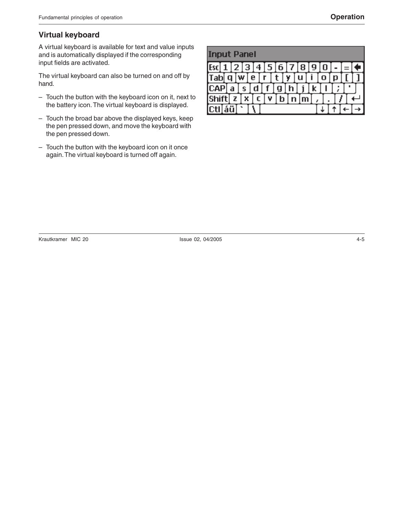#### **Virtual keyboard**

A virtual keyboard is available for text and value inputs and is automatically displayed if the corresponding input fields are activated.

The virtual keyboard can also be turned on and off by hand.

- Touch the button with the keyboard icon on it, next to the battery icon. The virtual keyboard is displayed.
- Touch the broad bar above the displayed keys, keep the pen pressed down, and move the keyboard with the pen pressed down.
- Touch the button with the keyboard icon on it once again. The virtual keyboard is turned off again.

| <b>Input Panel</b>                                      |  |   |  |  |  |  |  |  |  |  |  |
|---------------------------------------------------------|--|---|--|--|--|--|--|--|--|--|--|
| $\left[ \left[ \csc[1 2 3 4 5 6 7 8 9] \right] \right]$ |  |   |  |  |  |  |  |  |  |  |  |
| `a                                                      |  | е |  |  |  |  |  |  |  |  |  |
| <b>CAF</b>                                              |  |   |  |  |  |  |  |  |  |  |  |
|                                                         |  |   |  |  |  |  |  |  |  |  |  |
|                                                         |  |   |  |  |  |  |  |  |  |  |  |

Krautkramer MIC 20 **ISSUE 02, 04/2005** 1ssue 02, 04/2005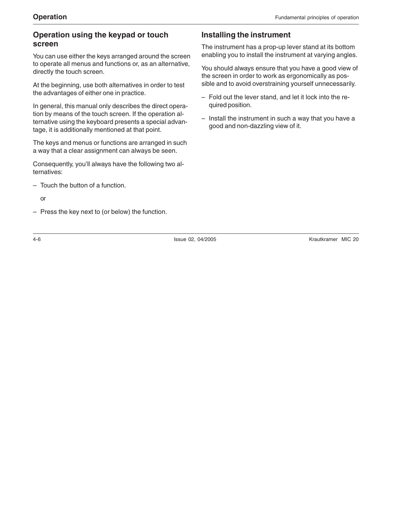#### **Operation using the keypad or touch screen**

You can use either the keys arranged around the screen to operate all menus and functions or, as an alternative, directly the touch screen.

At the beginning, use both alternatives in order to test the advantages of either one in practice.

In general, this manual only describes the direct operation by means of the touch screen. If the operation alternative using the keyboard presents a special advantage, it is additionally mentioned at that point.

The keys and menus or functions are arranged in such a way that a clear assignment can always be seen.

Consequently, you'll always have the following two alternatives:

– Touch the button of a function.

or

– Press the key next to (or below) the function.

4-6 Issue 02, 04/2005 Krautkramer MIC 20

#### **Installing the instrument**

The instrument has a prop-up lever stand at its bottom enabling you to install the instrument at varying angles.

You should always ensure that you have a good view of the screen in order to work as ergonomically as possible and to avoid overstraining yourself unnecessarily.

- Fold out the lever stand, and let it lock into the required position.
- Install the instrument in such a way that you have a good and non-dazzling view of it.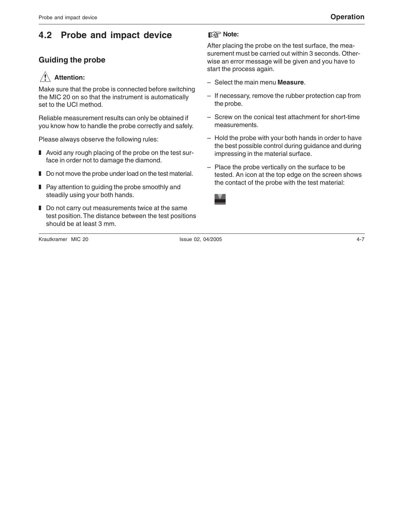# **4.2 Probe and impact device**

#### **Guiding the probe**

### $\sqrt{\mathbf{A}}$  Attention:

Make sure that the probe is connected before switching the MIC 20 on so that the instrument is automatically set to the UCI method.

Reliable measurement results can only be obtained if you know how to handle the probe correctly and safely.

Please always observe the following rules:

- Avoid any rough placing of the probe on the test surface in order not to damage the diamond.
- Do not move the probe under load on the test material.
- Pay attention to guiding the probe smoothly and steadily using your both hands.
- Do not carry out measurements twice at the same test position. The distance between the test positions should be at least 3 mm.

Krautkramer MIC 20 **ISSUE 02, 04/2005 CONVERTED 4-7 ISSUE 02, 04/2005 A-7** 

**K**<sub>S</sub> Note:

After placing the probe on the test surface, the measurement must be carried out within 3 seconds. Otherwise an error message will be given and you have to start the process again.

- Select the main menu **Measure**.
- If necessary, remove the rubber protection cap from the probe.
- Screw on the conical test attachment for short-time measurements.
- Hold the probe with your both hands in order to have the best possible control during guidance and during impressing in the material surface.
- Place the probe vertically on the surface to be tested. An icon at the top edge on the screen shows the contact of the probe with the test material:

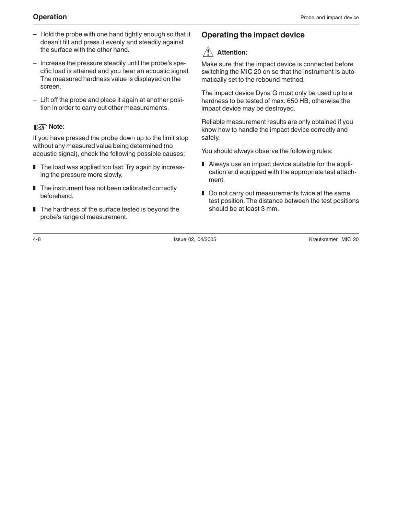**Operating the impact device**

matically set to the rebound method.

impact device may be destroyed.

should be at least 3 mm.

Make sure that the impact device is connected before switching the MIC 20 on so that the instrument is auto-

The impact device Dyna G must only be used up to a hardness to be tested of max. 650 HB, otherwise the

Reliable measurement results are only obtained if you know how to handle the impact device correctly and

■ Always use an impact device suitable for the application and equipped with the appropriate test attach-

■ Do not carry out measurements twice at the same test position. The distance between the test positions

You should always observe the following rules:

 $\sqrt{N}$  Attention:

safely.

ment.

- **Operation**
- Hold the probe with one hand tightly enough so that it doesn't tilt and press it evenly and steadily against the surface with the other hand.
- Increase the pressure steadily until the probe's specific load is attained and you hear an acoustic signal. The measured hardness value is displayed on the screen.
- Lift off the probe and place it again at another position in order to carry out other measurements.

#### **K** Note:

If you have pressed the probe down up to the limit stop without any measured value being determined (no acoustic signal), check the following possible causes:

- The load was applied too fast. Try again by increasing the pressure more slowly.
- The instrument has not been calibrated correctly beforehand.
- The hardness of the surface tested is beyond the probe's range of measurement.

4-8 Issue 02, 04/2005 Krautkramer MIC 20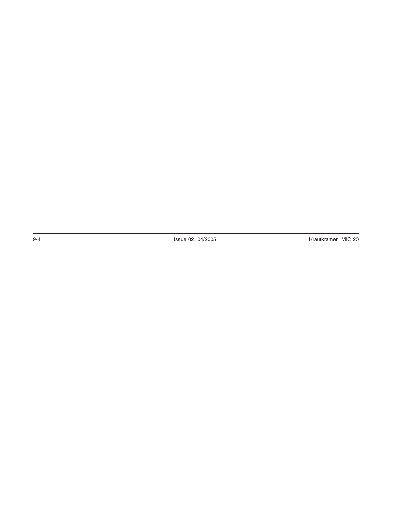9-4 **Issue 02, 04/2005** Issue 02, 04/2005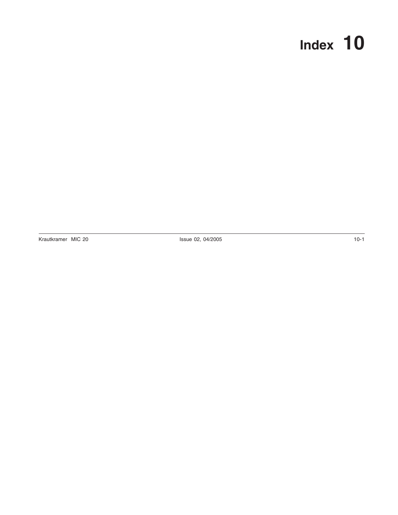# **Index 10**

Krautkramer MIC 20 **ISSUE 02, 04/2005** 10-1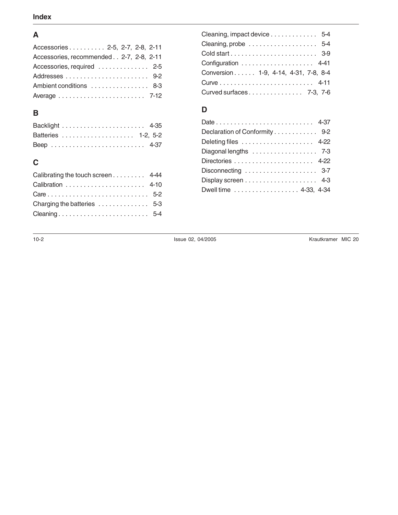#### **Index**

#### **A**

| Accessories 2-5, 2-7, 2-8, 2-11         |  |
|-----------------------------------------|--|
| Accessories, recommended 2-7, 2-8, 2-11 |  |
| Accessories, required  2-5              |  |
|                                         |  |
| Ambient conditions  8-3                 |  |
|                                         |  |

## **B**

| Batteries  1-2, 5-2 |  |  |  |  |  |  |  |  |  |  |
|---------------------|--|--|--|--|--|--|--|--|--|--|
|                     |  |  |  |  |  |  |  |  |  |  |

# **C**

| Calibrating the touch screen 4-44 |  |
|-----------------------------------|--|
|                                   |  |
|                                   |  |
| Charging the batteries  5-3       |  |
| Cleaning 5-4                      |  |

| Cleaning, impact device $\dots\dots\dots\dots$ 5-4 |  |
|----------------------------------------------------|--|
| Cleaning, probe  5-4                               |  |
|                                                    |  |
| Configuration  4-41                                |  |
| Conversion 1-9, 4-14, 4-31, 7-8, 8-4               |  |
|                                                    |  |
| Curved surfaces 7-3, 7-6                           |  |

## **D**

| Declaration of Conformity 9-2 |  |
|-------------------------------|--|
| Deleting files 4-22           |  |
| Diagonal lengths 7-3          |  |
|                               |  |
| Disconnecting  3-7            |  |
|                               |  |
| Dwell time 4-33, 4-34         |  |
|                               |  |

10-2 **ISSUE 02, 04/2005** ISSUE 02, 04/2005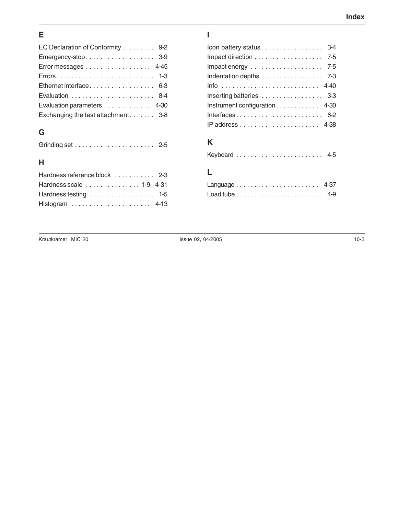## **E**

| EC Declaration of Conformity 9-2   |  |
|------------------------------------|--|
| Emergency-stop 3-9                 |  |
| Error messages 4-45                |  |
|                                    |  |
| Ethernet interface 6-3             |  |
|                                    |  |
| Evaluation parameters 4-30         |  |
| Exchanging the test attachment 3-8 |  |
|                                    |  |

# **G**

|--|--|--|--|--|--|--|--|--|--|--|--|--|--|--|--|--|--|--|--|--|--|--|

# **H**

| Hardness reference block  2-3 |  |
|-------------------------------|--|
| Hardness scale  1-9, 4-31     |  |
| Hardness testing  1-5         |  |
|                               |  |

## **I**

| Icon battery status 3-4       |  |
|-------------------------------|--|
|                               |  |
|                               |  |
| Indentation depths 7-3        |  |
| Info 4-40                     |  |
| Inserting batteries  3-3      |  |
| Instrument configuration 4-30 |  |
|                               |  |
|                               |  |

# **K**

```
Keyboard . . . . . . . . . . . . . . . . . . . . . . . . 4-5
```
## **L**

Krautkramer MIC 20 **ISSUE 02, 04/2005** 10-3 10-3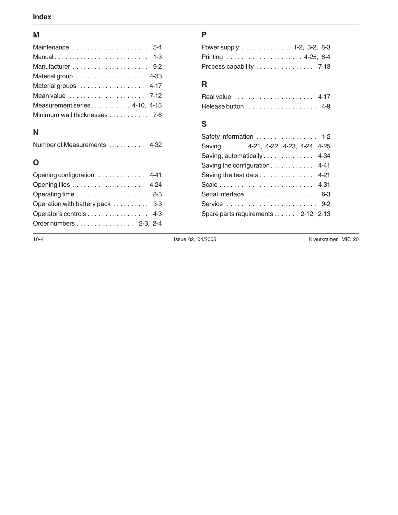#### **Index**

## **M**

| Maintenance  5-4              |  |
|-------------------------------|--|
| Manual 1-3                    |  |
|                               |  |
| Material group 4-33           |  |
| Material groups 4-17          |  |
|                               |  |
| Measurement series 4-10, 4-15 |  |
| Minimum wall thicknesses 7-6  |  |

#### **N**

| Number of Measurements |  | 4-32 |
|------------------------|--|------|
|------------------------|--|------|

## **O**

| Opening configuration  4-41     |  |
|---------------------------------|--|
|                                 |  |
|                                 |  |
| Operation with battery pack 3-3 |  |
| Operator's controls 4-3         |  |
| Order numbers 2-3, 2-4          |  |
|                                 |  |

10-4 **ISSUE 02, 04/2005** ISSUE 02, 04/2005

#### **P**

| Power supply 1-2, 3-2, 8-3 |  |  |  |  |  |  |
|----------------------------|--|--|--|--|--|--|
| Printing  4-25, 6-4        |  |  |  |  |  |  |
| Process capability 7-13    |  |  |  |  |  |  |

# **R**

# **S**

| Safety information 1-2              |
|-------------------------------------|
| Saving 4-21, 4-22, 4-23, 4-24, 4-25 |
| Saving, automatically 4-34          |
| Saving the configuration 4-41       |
| Saving the test data 4-21           |
|                                     |
|                                     |
| Service  9-2                        |
| Spare parts requirements 2-12, 2-13 |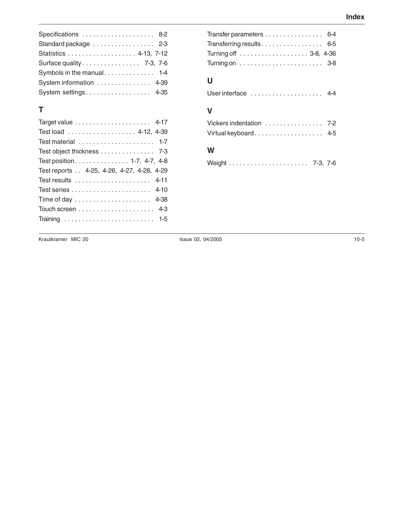| Specifications  8-2       |
|---------------------------|
| Standard package  2-3     |
| Statistics  4-13, 7-12    |
| Surface quality 7-3, 7-6  |
| Symbols in the manual 1-4 |
| System information  4-39  |
| System settings 4-35      |

# **T**

| Test load 4-12, 4-39                                                 |
|----------------------------------------------------------------------|
| Test material $\ldots \ldots \ldots \ldots \ldots \ldots \ldots$ 1-7 |
| Test object thickness 7-3                                            |
| Test position 1-7, 4-7, 4-8                                          |
| Test reports 4-25, 4-26, 4-27, 4-28, 4-29                            |
|                                                                      |
| Test series $\ldots \ldots \ldots \ldots \ldots \ldots$ 4-10         |
|                                                                      |
|                                                                      |
| Training  1-5                                                        |
|                                                                      |

| Transfer parameters 6-4                                           |  |
|-------------------------------------------------------------------|--|
| Transferring results $\ldots \ldots \ldots \ldots$ 6-5            |  |
|                                                                   |  |
| Turning on $\ldots \ldots \ldots \ldots \ldots \ldots \ldots$ 3-8 |  |

# **U**

User interface . . . . . . . . . . . . . . . . . . . . 4-4

#### **V**

| Vickers indentation  7-2 |  |  |  |  |  |  |  |  |
|--------------------------|--|--|--|--|--|--|--|--|
| Virtual keyboard 4-5     |  |  |  |  |  |  |  |  |

#### **W**

Weight . . . . . . . . . . . . . . . . . . . . . . 7-3, 7-6

Krautkramer MIC 20 **ISSUE 02, 04/2005** 10-5 10-5